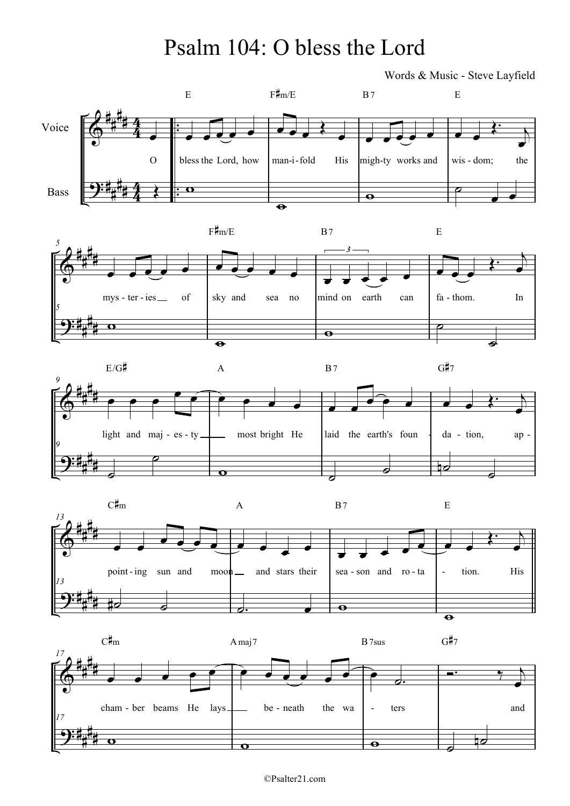## Psalm 104: O bless the Lord

Words & Music - Steve Layfield